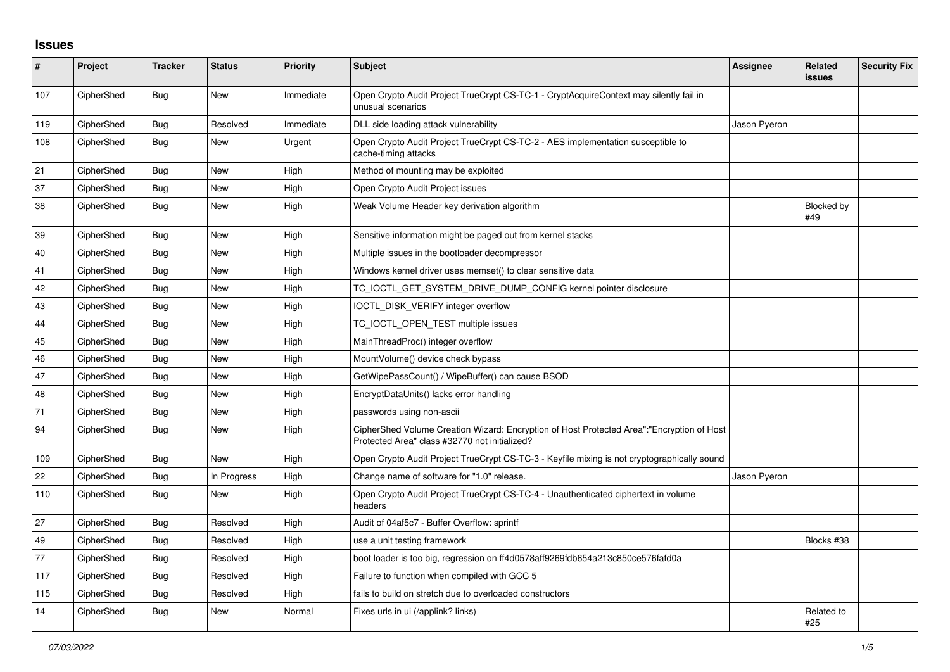## **Issues**

| #   | Project    | <b>Tracker</b> | <b>Status</b> | Priority  | <b>Subject</b>                                                                                                                             | <b>Assignee</b> | <b>Related</b><br>issues | <b>Security Fix</b> |
|-----|------------|----------------|---------------|-----------|--------------------------------------------------------------------------------------------------------------------------------------------|-----------------|--------------------------|---------------------|
| 107 | CipherShed | <b>Bug</b>     | <b>New</b>    | Immediate | Open Crypto Audit Project TrueCrypt CS-TC-1 - CryptAcquireContext may silently fail in<br>unusual scenarios                                |                 |                          |                     |
| 119 | CipherShed | Bug            | Resolved      | Immediate | DLL side loading attack vulnerability                                                                                                      | Jason Pyeron    |                          |                     |
| 108 | CipherShed | Bug            | New           | Urgent    | Open Crypto Audit Project TrueCrypt CS-TC-2 - AES implementation susceptible to<br>cache-timing attacks                                    |                 |                          |                     |
| 21  | CipherShed | <b>Bug</b>     | <b>New</b>    | High      | Method of mounting may be exploited                                                                                                        |                 |                          |                     |
| 37  | CipherShed | <b>Bug</b>     | <b>New</b>    | High      | Open Crypto Audit Project issues                                                                                                           |                 |                          |                     |
| 38  | CipherShed | Bug            | <b>New</b>    | High      | Weak Volume Header key derivation algorithm                                                                                                |                 | <b>Blocked by</b><br>#49 |                     |
| 39  | CipherShed | Bug            | <b>New</b>    | High      | Sensitive information might be paged out from kernel stacks                                                                                |                 |                          |                     |
| 40  | CipherShed | Bug            | <b>New</b>    | High      | Multiple issues in the bootloader decompressor                                                                                             |                 |                          |                     |
| 41  | CipherShed | <b>Bug</b>     | <b>New</b>    | High      | Windows kernel driver uses memset() to clear sensitive data                                                                                |                 |                          |                     |
| 42  | CipherShed | Bug            | <b>New</b>    | High      | TC_IOCTL_GET_SYSTEM_DRIVE_DUMP_CONFIG kernel pointer disclosure                                                                            |                 |                          |                     |
| 43  | CipherShed | Bug            | <b>New</b>    | High      | IOCTL_DISK_VERIFY integer overflow                                                                                                         |                 |                          |                     |
| 44  | CipherShed | <b>Bug</b>     | <b>New</b>    | High      | TC_IOCTL_OPEN_TEST multiple issues                                                                                                         |                 |                          |                     |
| 45  | CipherShed | Bug            | New           | High      | MainThreadProc() integer overflow                                                                                                          |                 |                          |                     |
| 46  | CipherShed | <b>Bug</b>     | <b>New</b>    | High      | MountVolume() device check bypass                                                                                                          |                 |                          |                     |
| 47  | CipherShed | Bug            | <b>New</b>    | High      | GetWipePassCount() / WipeBuffer() can cause BSOD                                                                                           |                 |                          |                     |
| 48  | CipherShed | Bug            | <b>New</b>    | High      | EncryptDataUnits() lacks error handling                                                                                                    |                 |                          |                     |
| 71  | CipherShed | Bug            | <b>New</b>    | High      | passwords using non-ascii                                                                                                                  |                 |                          |                     |
| 94  | CipherShed | Bug            | New           | High      | CipherShed Volume Creation Wizard: Encryption of Host Protected Area":"Encryption of Host<br>Protected Area" class #32770 not initialized? |                 |                          |                     |
| 109 | CipherShed | <b>Bug</b>     | <b>New</b>    | High      | Open Crypto Audit Project TrueCrypt CS-TC-3 - Keyfile mixing is not cryptographically sound                                                |                 |                          |                     |
| 22  | CipherShed | <b>Bug</b>     | In Progress   | High      | Change name of software for "1.0" release.                                                                                                 | Jason Pyeron    |                          |                     |
| 110 | CipherShed | <b>Bug</b>     | New           | High      | Open Crypto Audit Project TrueCrypt CS-TC-4 - Unauthenticated ciphertext in volume<br>headers                                              |                 |                          |                     |
| 27  | CipherShed | <b>Bug</b>     | Resolved      | High      | Audit of 04af5c7 - Buffer Overflow: sprintf                                                                                                |                 |                          |                     |
| 49  | CipherShed | Bug            | Resolved      | High      | use a unit testing framework                                                                                                               |                 | Blocks #38               |                     |
| 77  | CipherShed | <b>Bug</b>     | Resolved      | High      | boot loader is too big, regression on ff4d0578aff9269fdb654a213c850ce576fafd0a                                                             |                 |                          |                     |
| 117 | CipherShed | Bug            | Resolved      | High      | Failure to function when compiled with GCC 5                                                                                               |                 |                          |                     |
| 115 | CipherShed | Bug            | Resolved      | High      | fails to build on stretch due to overloaded constructors                                                                                   |                 |                          |                     |
| 14  | CipherShed | Bug            | New           | Normal    | Fixes urls in ui (/applink? links)                                                                                                         |                 | Related to<br>#25        |                     |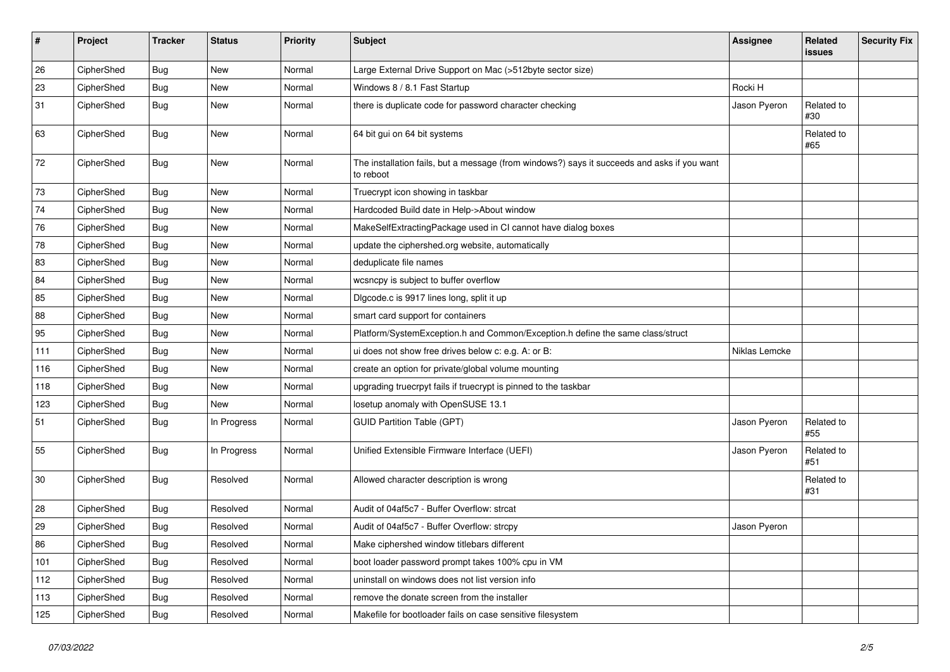| $\sharp$   | Project    | <b>Tracker</b> | <b>Status</b> | <b>Priority</b> | <b>Subject</b>                                                                                           | <b>Assignee</b> | Related<br><b>issues</b> | <b>Security Fix</b> |
|------------|------------|----------------|---------------|-----------------|----------------------------------------------------------------------------------------------------------|-----------------|--------------------------|---------------------|
| 26         | CipherShed | Bug            | <b>New</b>    | Normal          | Large External Drive Support on Mac (>512byte sector size)                                               |                 |                          |                     |
| 23         | CipherShed | <b>Bug</b>     | New           | Normal          | Windows 8 / 8.1 Fast Startup                                                                             | Rocki H         |                          |                     |
| 31         | CipherShed | <b>Bug</b>     | New           | Normal          | there is duplicate code for password character checking                                                  | Jason Pyeron    | Related to<br>#30        |                     |
| 63         | CipherShed | Bug            | <b>New</b>    | Normal          | 64 bit gui on 64 bit systems                                                                             |                 | Related to<br>#65        |                     |
| 72         | CipherShed | Bug            | <b>New</b>    | Normal          | The installation fails, but a message (from windows?) says it succeeds and asks if you want<br>to reboot |                 |                          |                     |
| 73         | CipherShed | <b>Bug</b>     | <b>New</b>    | Normal          | Truecrypt icon showing in taskbar                                                                        |                 |                          |                     |
| 74         | CipherShed | <b>Bug</b>     | <b>New</b>    | Normal          | Hardcoded Build date in Help->About window                                                               |                 |                          |                     |
| 76         | CipherShed | <b>Bug</b>     | New           | Normal          | MakeSelfExtractingPackage used in CI cannot have dialog boxes                                            |                 |                          |                     |
| ${\bf 78}$ | CipherShed | Bug            | <b>New</b>    | Normal          | update the ciphershed.org website, automatically                                                         |                 |                          |                     |
| 83         | CipherShed | <b>Bug</b>     | <b>New</b>    | Normal          | deduplicate file names                                                                                   |                 |                          |                     |
| 84         | CipherShed | <b>Bug</b>     | New           | Normal          | wcsncpy is subject to buffer overflow                                                                    |                 |                          |                     |
| 85         | CipherShed | <b>Bug</b>     | <b>New</b>    | Normal          | Digcode.c is 9917 lines long, split it up                                                                |                 |                          |                     |
| 88         | CipherShed | <b>Bug</b>     | New           | Normal          | smart card support for containers                                                                        |                 |                          |                     |
| 95         | CipherShed | Bug            | <b>New</b>    | Normal          | Platform/SystemException.h and Common/Exception.h define the same class/struct                           |                 |                          |                     |
| 111        | CipherShed | <b>Bug</b>     | <b>New</b>    | Normal          | ui does not show free drives below c: e.g. A: or B:                                                      | Niklas Lemcke   |                          |                     |
| 116        | CipherShed | Bug            | <b>New</b>    | Normal          | create an option for private/global volume mounting                                                      |                 |                          |                     |
| 118        | CipherShed | Bug            | <b>New</b>    | Normal          | upgrading truecrpyt fails if truecrypt is pinned to the taskbar                                          |                 |                          |                     |
| 123        | CipherShed | <b>Bug</b>     | New           | Normal          | losetup anomaly with OpenSUSE 13.1                                                                       |                 |                          |                     |
| 51         | CipherShed | <b>Bug</b>     | In Progress   | Normal          | <b>GUID Partition Table (GPT)</b>                                                                        | Jason Pyeron    | Related to<br>#55        |                     |
| 55         | CipherShed | <b>Bug</b>     | In Progress   | Normal          | Unified Extensible Firmware Interface (UEFI)                                                             | Jason Pyeron    | Related to<br>#51        |                     |
| 30         | CipherShed | Bug            | Resolved      | Normal          | Allowed character description is wrong                                                                   |                 | Related to<br>#31        |                     |
| 28         | CipherShed | Bug            | Resolved      | Normal          | Audit of 04af5c7 - Buffer Overflow: strcat                                                               |                 |                          |                     |
| 29         | CipherShed | <b>Bug</b>     | Resolved      | Normal          | Audit of 04af5c7 - Buffer Overflow: strcpy                                                               | Jason Pyeron    |                          |                     |
| 86         | CipherShed | <b>Bug</b>     | Resolved      | Normal          | Make ciphershed window titlebars different                                                               |                 |                          |                     |
| 101        | CipherShed | <b>Bug</b>     | Resolved      | Normal          | boot loader password prompt takes 100% cpu in VM                                                         |                 |                          |                     |
| 112        | CipherShed | <b>Bug</b>     | Resolved      | Normal          | uninstall on windows does not list version info                                                          |                 |                          |                     |
| 113        | CipherShed | <b>Bug</b>     | Resolved      | Normal          | remove the donate screen from the installer                                                              |                 |                          |                     |
| 125        | CipherShed | <b>Bug</b>     | Resolved      | Normal          | Makefile for bootloader fails on case sensitive filesystem                                               |                 |                          |                     |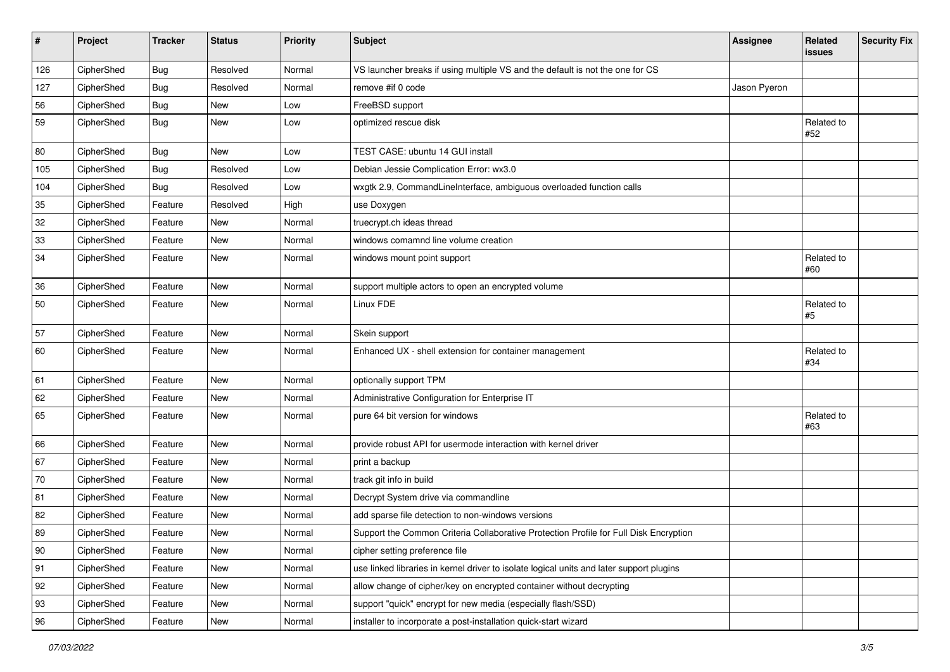| #            | Project    | <b>Tracker</b> | <b>Status</b> | <b>Priority</b> | <b>Subject</b>                                                                           | <b>Assignee</b> | Related<br>issues   | <b>Security Fix</b> |
|--------------|------------|----------------|---------------|-----------------|------------------------------------------------------------------------------------------|-----------------|---------------------|---------------------|
| 126          | CipherShed | <b>Bug</b>     | Resolved      | Normal          | VS launcher breaks if using multiple VS and the default is not the one for CS            |                 |                     |                     |
| 127          | CipherShed | Bug            | Resolved      | Normal          | remove #if 0 code                                                                        | Jason Pyeron    |                     |                     |
| 56           | CipherShed | <b>Bug</b>     | New           | Low             | FreeBSD support                                                                          |                 |                     |                     |
| 59           | CipherShed | Bug            | New           | Low             | optimized rescue disk                                                                    |                 | Related to<br>#52   |                     |
| 80           | CipherShed | Bug            | <b>New</b>    | Low             | TEST CASE: ubuntu 14 GUI install                                                         |                 |                     |                     |
| 105          | CipherShed | <b>Bug</b>     | Resolved      | Low             | Debian Jessie Complication Error: wx3.0                                                  |                 |                     |                     |
| 104          | CipherShed | <b>Bug</b>     | Resolved      | Low             | wxgtk 2.9, CommandLineInterface, ambiguous overloaded function calls                     |                 |                     |                     |
| 35           | CipherShed | Feature        | Resolved      | High            | use Doxygen                                                                              |                 |                     |                     |
| 32           | CipherShed | Feature        | New           | Normal          | truecrypt.ch ideas thread                                                                |                 |                     |                     |
| $33\,$       | CipherShed | Feature        | New           | Normal          | windows comamnd line volume creation                                                     |                 |                     |                     |
| 34           | CipherShed | Feature        | New           | Normal          | windows mount point support                                                              |                 | Related to<br>#60   |                     |
| 36           | CipherShed | Feature        | <b>New</b>    | Normal          | support multiple actors to open an encrypted volume                                      |                 |                     |                     |
| 50           | CipherShed | Feature        | New           | Normal          | Linux FDE                                                                                |                 | Related to<br>$\#5$ |                     |
| 57           | CipherShed | Feature        | New           | Normal          | Skein support                                                                            |                 |                     |                     |
| 60           | CipherShed | Feature        | New           | Normal          | Enhanced UX - shell extension for container management                                   |                 | Related to<br>#34   |                     |
| 61           | CipherShed | Feature        | <b>New</b>    | Normal          | optionally support TPM                                                                   |                 |                     |                     |
| 62           | CipherShed | Feature        | New           | Normal          | Administrative Configuration for Enterprise IT                                           |                 |                     |                     |
| 65           | CipherShed | Feature        | <b>New</b>    | Normal          | pure 64 bit version for windows                                                          |                 | Related to<br>#63   |                     |
| 66           | CipherShed | Feature        | <b>New</b>    | Normal          | provide robust API for usermode interaction with kernel driver                           |                 |                     |                     |
| 67           | CipherShed | Feature        | New           | Normal          | print a backup                                                                           |                 |                     |                     |
| 70           | CipherShed | Feature        | New           | Normal          | track git info in build                                                                  |                 |                     |                     |
| 81           | CipherShed | Feature        | <b>New</b>    | Normal          | Decrypt System drive via commandline                                                     |                 |                     |                     |
| 82           | CipherShed | Feature        | <b>New</b>    | Normal          | add sparse file detection to non-windows versions                                        |                 |                     |                     |
| 89           | CipherShed | Feature        | New           | Normal          | Support the Common Criteria Collaborative Protection Profile for Full Disk Encryption    |                 |                     |                     |
| $ 90\rangle$ | CipherShed | Feature        | New           | Normal          | cipher setting preference file                                                           |                 |                     |                     |
| 91           | CipherShed | Feature        | New           | Normal          | use linked libraries in kernel driver to isolate logical units and later support plugins |                 |                     |                     |
| 92           | CipherShed | Feature        | New           | Normal          | allow change of cipher/key on encrypted container without decrypting                     |                 |                     |                     |
| 93           | CipherShed | Feature        | New           | Normal          | support "quick" encrypt for new media (especially flash/SSD)                             |                 |                     |                     |
| 96           | CipherShed | Feature        | New           | Normal          | installer to incorporate a post-installation quick-start wizard                          |                 |                     |                     |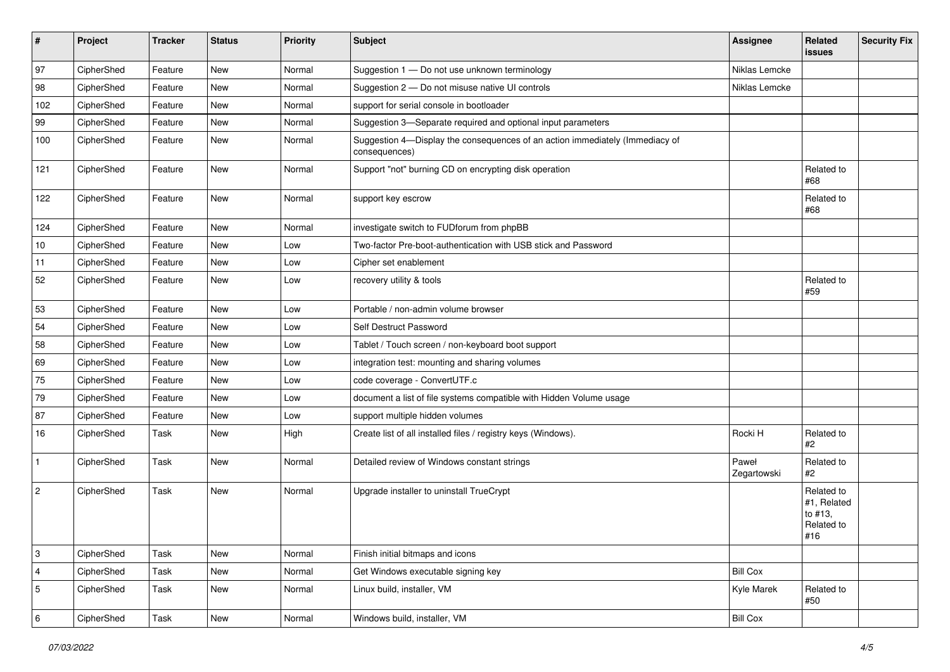| #              | Project    | <b>Tracker</b> | <b>Status</b> | <b>Priority</b> | Subject                                                                                       | Assignee             | Related<br><b>issues</b>                                  | <b>Security Fix</b> |
|----------------|------------|----------------|---------------|-----------------|-----------------------------------------------------------------------------------------------|----------------------|-----------------------------------------------------------|---------------------|
| 97             | CipherShed | Feature        | <b>New</b>    | Normal          | Suggestion 1 - Do not use unknown terminology                                                 | Niklas Lemcke        |                                                           |                     |
| 98             | CipherShed | Feature        | New           | Normal          | Suggestion 2 - Do not misuse native UI controls                                               | Niklas Lemcke        |                                                           |                     |
| 102            | CipherShed | Feature        | New           | Normal          | support for serial console in bootloader                                                      |                      |                                                           |                     |
| 99             | CipherShed | Feature        | New           | Normal          | Suggestion 3-Separate required and optional input parameters                                  |                      |                                                           |                     |
| 100            | CipherShed | Feature        | New           | Normal          | Suggestion 4-Display the consequences of an action immediately (Immediacy of<br>consequences) |                      |                                                           |                     |
| 121            | CipherShed | Feature        | New           | Normal          | Support "not" burning CD on encrypting disk operation                                         |                      | Related to<br>#68                                         |                     |
| 122            | CipherShed | Feature        | New           | Normal          | support key escrow                                                                            |                      | Related to<br>#68                                         |                     |
| 124            | CipherShed | Feature        | New           | Normal          | investigate switch to FUDforum from phpBB                                                     |                      |                                                           |                     |
| 10             | CipherShed | Feature        | New           | Low             | Two-factor Pre-boot-authentication with USB stick and Password                                |                      |                                                           |                     |
| 11             | CipherShed | Feature        | New           | Low             | Cipher set enablement                                                                         |                      |                                                           |                     |
| 52             | CipherShed | Feature        | New           | Low             | recovery utility & tools                                                                      |                      | Related to<br>#59                                         |                     |
| 53             | CipherShed | Feature        | New           | Low             | Portable / non-admin volume browser                                                           |                      |                                                           |                     |
| 54             | CipherShed | Feature        | New           | Low             | Self Destruct Password                                                                        |                      |                                                           |                     |
| 58             | CipherShed | Feature        | New           | Low             | Tablet / Touch screen / non-keyboard boot support                                             |                      |                                                           |                     |
| 69             | CipherShed | Feature        | New           | Low             | integration test: mounting and sharing volumes                                                |                      |                                                           |                     |
| 75             | CipherShed | Feature        | New           | Low             | code coverage - ConvertUTF.c                                                                  |                      |                                                           |                     |
| 79             | CipherShed | Feature        | New           | Low             | document a list of file systems compatible with Hidden Volume usage                           |                      |                                                           |                     |
| 87             | CipherShed | Feature        | <b>New</b>    | Low             | support multiple hidden volumes                                                               |                      |                                                           |                     |
| 16             | CipherShed | Task           | New           | High            | Create list of all installed files / registry keys (Windows).                                 | Rocki H              | Related to<br>#2                                          |                     |
| $\mathbf{1}$   | CipherShed | Task           | New           | Normal          | Detailed review of Windows constant strings                                                   | Paweł<br>Zegartowski | Related to<br>#2                                          |                     |
| $\overline{2}$ | CipherShed | Task           | New           | Normal          | Upgrade installer to uninstall TrueCrypt                                                      |                      | Related to<br>#1, Related<br>to #13,<br>Related to<br>#16 |                     |
| 3              | CipherShed | Task           | New           | Normal          | Finish initial bitmaps and icons                                                              |                      |                                                           |                     |
| $\overline{4}$ | CipherShed | Task           | New           | Normal          | Get Windows executable signing key                                                            | <b>Bill Cox</b>      |                                                           |                     |
| 5              | CipherShed | Task           | New           | Normal          | Linux build, installer, VM                                                                    | Kyle Marek           | Related to<br>#50                                         |                     |
| 6              | CipherShed | Task           | New           | Normal          | Windows build, installer, VM                                                                  | <b>Bill Cox</b>      |                                                           |                     |